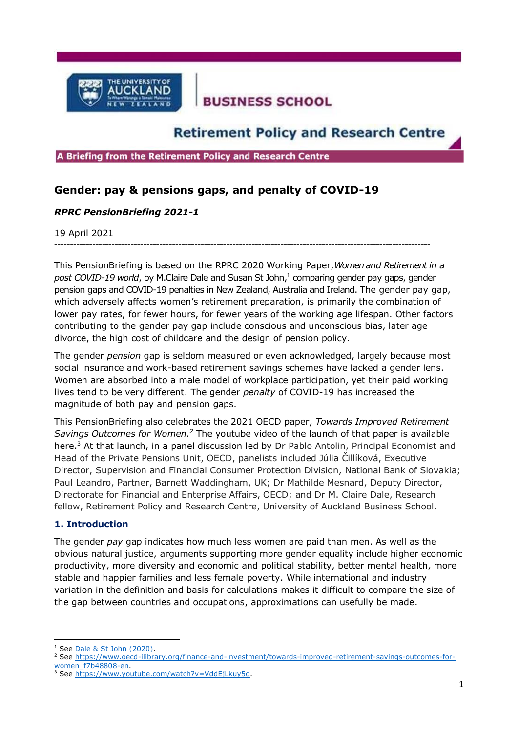

# **BUSINESS SCHOOL**

## **Retirement Policy and Research Centre**

A Briefing from the Retirement Policy and Research Centre

### **Gender: pay & pensions gaps, and penalty of COVID-19**

#### *RPRC PensionBriefing 2021-1*

19 April 2021

**----------------------------------------------------------------------------------------------------------------------**

This PensionBriefing is based on the RPRC 2020 Working Paper,*Women and Retirement in a*  post COVID-19 world, by M.Claire Dale and Susan St John,<sup>1</sup> comparing gender pay gaps, gender pension gaps and COVID-19 penalties in New Zealand, Australia and Ireland. The gender pay gap, which adversely affects women's retirement preparation, is primarily the combination of lower pay rates, for fewer hours, for fewer years of the working age lifespan. Other factors contributing to the gender pay gap include conscious and unconscious bias, later age divorce, the high cost of childcare and the design of pension policy.

The gender *pension* gap is seldom measured or even acknowledged, largely because most social insurance and work-based retirement savings schemes have lacked a gender lens. Women are absorbed into a male model of workplace participation, yet their paid working lives tend to be very different. The gender *penalty* of COVID-19 has increased the magnitude of both pay and pension gaps.

This PensionBriefing also celebrates the 2021 OECD paper, *Towards Improved Retirement* Savings Outcomes for Women.<sup>2</sup> The youtube video of the launch of that paper is available here.<sup>3</sup> At that launch, in a panel discussion led by Dr Pablo Antolin, Principal Economist and Head of the Private Pensions Unit, OECD, panelists included Júlia Čillíková, Executive Director, Supervision and Financial Consumer Protection Division, National Bank of Slovakia; Paul Leandro, Partner, Barnett Waddingham, UK; Dr Mathilde Mesnard, Deputy Director, Directorate for Financial and Enterprise Affairs, OECD; and Dr M. Claire Dale, Research fellow, Retirement Policy and Research Centre, University of Auckland Business School.

#### **1. Introduction**

The gender *pay* gap indicates how much less women are paid than men. As well as the obvious natural justice, arguments supporting more gender equality include higher economic productivity, more diversity and economic and political stability, better mental health, more stable and happier families and less female poverty. While international and industry variation in the definition and basis for calculations makes it difficult to compare the size of the gap between countries and occupations, approximations can usefully be made.

<sup>&</sup>lt;sup>1</sup> See Dale & St [John \(2020\).](https://cdn.auckland.ac.nz/assets/business/about/our-research/research-institutes-and-centres/RPRC/OtherPapers/WP%202020-1%20Women%20and%20Retirement%20FINAL.pdf)

<sup>&</sup>lt;sup>2</sup> See [https://www.oecd-ilibrary.org/finance-and-investment/towards-improved-retirement-savings-outcomes-for](https://www.oecd-ilibrary.org/finance-and-investment/towards-improved-retirement-savings-outcomes-for-women_f7b48808-en)[women\\_f7b48808-en.](https://www.oecd-ilibrary.org/finance-and-investment/towards-improved-retirement-savings-outcomes-for-women_f7b48808-en)

See [https://www.youtube.com/watch?v=VddEjLkuy5o.](https://www.youtube.com/watch?v=VddEjLkuy5o)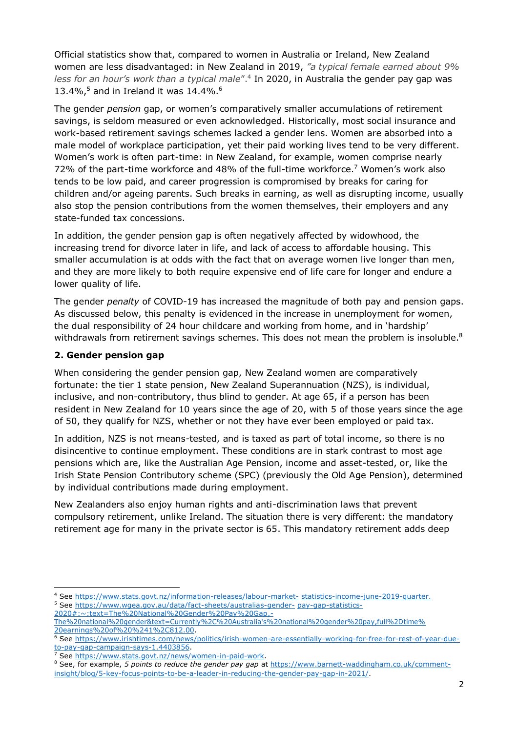Official statistics show that, compared to women in Australia or Ireland, New Zealand women are less disadvantaged: in New Zealand in 2019, *"a typical female earned about 9% less for an hour's work than a typical male*".<sup>4</sup> In 2020, in Australia the gender pay gap was 13.4%, $5$  and in Ireland it was 14.4%. $6$ 

The gender *pension* gap, or women's comparatively smaller accumulations of retirement savings, is seldom measured or even acknowledged. Historically, most social insurance and work-based retirement savings schemes lacked a gender lens. Women are absorbed into a male model of workplace participation, yet their paid working lives tend to be very different. Women's work is often part-time: in New Zealand, for example, women comprise nearly 72% of the part-time workforce and 48% of the full-time workforce.<sup>7</sup> Women's work also tends to be low paid, and career progression is compromised by breaks for caring for children and/or ageing parents. Such breaks in earning, as well as disrupting income, usually also stop the pension contributions from the women themselves, their employers and any state-funded tax concessions.

In addition, the gender pension gap is often negatively affected by widowhood, the increasing trend for divorce later in life, and lack of access to affordable housing. This smaller accumulation is at odds with the fact that on average women live longer than men, and they are more likely to both require expensive end of life care for longer and endure a lower quality of life.

The gender *penalty* of COVID-19 has increased the magnitude of both pay and pension gaps. As discussed below, this penalty is evidenced in the increase in unemployment for women, the dual responsibility of 24 hour childcare and working from home, and in 'hardship' withdrawals from retirement savings schemes. This does not mean the problem is insoluble.<sup>8</sup>

#### **2. Gender pension gap**

When considering the gender pension gap, New Zealand women are comparatively fortunate: the tier 1 state pension, New Zealand Superannuation (NZS), is individual, inclusive, and non-contributory, thus blind to gender. At age 65, if a person has been resident in New Zealand for 10 years since the age of 20, with 5 of those years since the age of 50, they qualify for NZS, whether or not they have ever been employed or paid tax.

In addition, NZS is not means-tested, and is taxed as part of total income, so there is no disincentive to continue employment. These conditions are in stark contrast to most age pensions which are, like the Australian Age Pension, income and asset-tested, or, like the Irish State Pension Contributory scheme (SPC) (previously the Old Age Pension), determined by individual contributions made during employment.

New Zealanders also enjoy human rights and anti-discrimination laws that prevent compulsory retirement, unlike Ireland. The situation there is very different: the mandatory retirement age for many in the private sector is 65. This mandatory retirement adds deep

<sup>4</sup> See [https://www.stats.govt.nz/information-releases/labour-market-](https://www.stats.govt.nz/information-releases/labour-market-statistics-income-june-2019-quarter) [statistics-income-june-2019-quarter.](https://www.stats.govt.nz/information-releases/labour-market-statistics-income-june-2019-quarter)

<sup>5</sup> See [https://www.wgea.gov.au/data/fact-sheets/australias-gender-](https://www.wgea.gov.au/data/fact-sheets/australias-gender-pay-gap-statistics-2020#%3A%7E%3Atext%3DThe%20National%20Gender%20Pay%20Gap%2C-The%20national%20gender%26text%3DCurrently%2C%20Australia%27s%20national%20gender%20pay%2Cfull%2Dtime%20earnings%20of%20%241%2C812.00) [pay-gap-statistics-](https://www.wgea.gov.au/data/fact-sheets/australias-gender-pay-gap-statistics-2020#%3A%7E%3Atext%3DThe%20National%20Gender%20Pay%20Gap%2C-The%20national%20gender%26text%3DCurrently%2C%20Australia%27s%20national%20gender%20pay%2Cfull%2Dtime%20earnings%20of%20%241%2C812.00)

[<sup>2020#:~:</sup>text=The%20National%20Gender%20Pay%20Gap,-](https://www.wgea.gov.au/data/fact-sheets/australias-gender-pay-gap-statistics-2020#%3A%7E%3Atext%3DThe%20National%20Gender%20Pay%20Gap%2C-The%20national%20gender%26text%3DCurrently%2C%20Australia%27s%20national%20gender%20pay%2Cfull%2Dtime%20earnings%20of%20%241%2C812.00)

[The%20national%20gender&text=Currently%2C%20Australia's%20national%20gender%20pay,full%2Dtime%](https://www.wgea.gov.au/data/fact-sheets/australias-gender-pay-gap-statistics-2020#%3A%7E%3Atext%3DThe%20National%20Gender%20Pay%20Gap%2C-The%20national%20gender%26text%3DCurrently%2C%20Australia%27s%20national%20gender%20pay%2Cfull%2Dtime%20earnings%20of%20%241%2C812.00) [20earnings%20of%20%241%2C812.00.](https://www.wgea.gov.au/data/fact-sheets/australias-gender-pay-gap-statistics-2020#%3A%7E%3Atext%3DThe%20National%20Gender%20Pay%20Gap%2C-The%20national%20gender%26text%3DCurrently%2C%20Australia%27s%20national%20gender%20pay%2Cfull%2Dtime%20earnings%20of%20%241%2C812.00)

<sup>6</sup> See [https://www.irishtimes.com/news/politics/irish-women-are-essentially-working-for-free-for-rest-of-year-due](https://www.irishtimes.com/news/politics/irish-women-are-essentially-working-for-free-for-rest-of-year-due-to-pay-gap-campaign-says-1.4403856)[to-pay-gap-campaign-says-1.4403856.](https://www.irishtimes.com/news/politics/irish-women-are-essentially-working-for-free-for-rest-of-year-due-to-pay-gap-campaign-says-1.4403856)

<sup>7</sup> See [https://www.stats.govt.nz/news/women-in-paid-work.](https://www.stats.govt.nz/news/women-in-paid-work)

<sup>&</sup>lt;sup>8</sup> See, for example, *5 points to reduce the gender pay gap* at [https://www.barnett-waddingham.co.uk/comment](https://www.barnett-waddingham.co.uk/comment-insight/blog/5-key-focus-points-to-be-a-leader-in-reducing-the-gender-pay-gap-in-2021/)[insight/blog/5-key-focus-points-to-be-a-leader-in-reducing-the-gender-pay-gap-in-2021/.](https://www.barnett-waddingham.co.uk/comment-insight/blog/5-key-focus-points-to-be-a-leader-in-reducing-the-gender-pay-gap-in-2021/)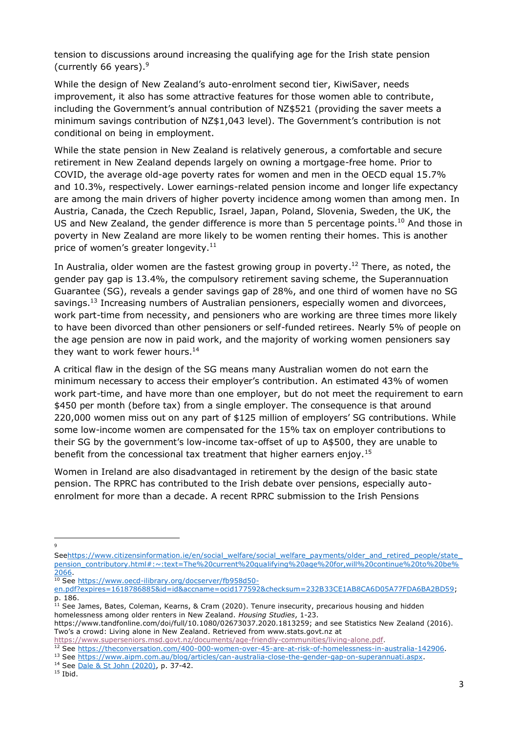tension to discussions around increasing the qualifying age for the Irish state pension (currently 66 years). $9$ 

While the design of New Zealand's auto-enrolment second tier, KiwiSaver, needs improvement, it also has some attractive features for those women able to contribute, including the Government's annual contribution of NZ\$521 (providing the saver meets a minimum savings contribution of NZ\$1,043 level). The Government's contribution is not conditional on being in employment.

While the state pension in New Zealand is relatively generous, a comfortable and secure retirement in New Zealand depends largely on owning a mortgage-free home. Prior to COVID, the average old-age poverty rates for women and men in the OECD equal 15.7% and 10.3%, respectively. Lower earnings-related pension income and longer life expectancy are among the main drivers of higher poverty incidence among women than among men. In Austria, Canada, the Czech Republic, Israel, Japan, Poland, Slovenia, Sweden, the UK, the US and New Zealand, the gender difference is more than 5 percentage points.<sup>10</sup> And those in poverty in New Zealand are more likely to be women renting their homes. This is another price of women's greater longevity.<sup>11</sup>

In Australia, older women are the fastest growing group in poverty.<sup>12</sup> There, as noted, the gender pay gap is 13.4%, the compulsory retirement saving scheme, the Superannuation Guarantee (SG), reveals a gender savings gap of 28%, and one third of women have no SG savings.<sup>13</sup> Increasing numbers of Australian pensioners, especially women and divorcees, work part-time from necessity, and pensioners who are working are three times more likely to have been divorced than other pensioners or self-funded retirees. Nearly 5% of people on the age pension are now in paid work, and the majority of working women pensioners say they want to work fewer hours.<sup>14</sup>

A critical flaw in the design of the SG means many Australian women do not earn the minimum necessary to access their employer's contribution. An estimated 43% of women work part-time, and have more than one employer, but do not meet the requirement to earn \$450 per month (before tax) from a single employer. The consequence is that around 220,000 women miss out on any part of \$125 million of employers' SG contributions. While some low-income women are compensated for the 15% tax on employer contributions to their SG by the government's low-income tax-offset of up to A\$500, they are unable to benefit from the concessional tax treatment that higher earners enjoy.<sup>15</sup>

Women in Ireland are also disadvantaged in retirement by the design of the basic state pension. The RPRC has contributed to the Irish debate over pensions, especially autoenrolment for more than a decade. A recent RPRC submission to the Irish Pensions

 $\circ$ 

<sup>10</sup> See [https://www.oecd-ilibrary.org/docserver/fb958d50-](https://www.oecd-ilibrary.org/docserver/fb958d50-en.pdf?expires=1618786885&id=id&accname=ocid177592&checksum=232B33CE1AB8CA6D05A77FDA6BA2BD59)

Seehttps://www.citizensinformation.ie/en/social\_welfare/social\_welfare\_payments/older\_and\_retired\_people/state [pension\\_contributory.html#:~:text=The%20current%20qualifying%20age%20for,will%20continue%20to%20be%](https://www.citizensinformation.ie/en/social_welfare/social_welfare_payments/older_and_retired_people/state_pension_contributory.html#:~:text=The%20current%20qualifying%20age%20for,will%20continue%20to%20be%2066) [2066.](https://www.citizensinformation.ie/en/social_welfare/social_welfare_payments/older_and_retired_people/state_pension_contributory.html#:~:text=The%20current%20qualifying%20age%20for,will%20continue%20to%20be%2066)

[en.pdf?expires=1618786885&id=id&accname=ocid177592&checksum=232B33CE1AB8CA6D05A77FDA6BA2BD59;](https://www.oecd-ilibrary.org/docserver/fb958d50-en.pdf?expires=1618786885&id=id&accname=ocid177592&checksum=232B33CE1AB8CA6D05A77FDA6BA2BD59) p. 186.

<sup>&</sup>lt;sup>11</sup> See James, Bates, Coleman, Kearns, & Cram (2020). Tenure insecurity, precarious housing and hidden homelessness among older renters in New Zealand. *Housing Studies*, 1-23.

https://www.tandfonline.com/doi/full/10.1080/02673037.2020.1813259; and see Statistics New Zealand (2016). Two's a crowd: Living alone in New Zealand. Retrieved from www.stats.govt.nz at

[https://www.superseniors.msd.govt.nz/documents/age-friendly-communities/living-alone.pdf.](https://www.superseniors.msd.govt.nz/documents/age-friendly-communities/living-alone.pdf)

<sup>12</sup> See [https://theconversation.com/400-000-women-over-45-are-at-risk-of-homelessness-in-australia-142906.](https://theconversation.com/400-000-women-over-45-are-at-risk-of-homelessness-in-australia-142906)

<sup>13</sup> See [https://www.aipm.com.au/blog/articles/can-australia-close-the-gender-gap-on-superannuati.aspx.](https://www.aipm.com.au/blog/articles/can-australia-close-the-gender-gap-on-superannuati.aspx)

<sup>14</sup> See [Dale & St John \(2020\),](https://cdn.auckland.ac.nz/assets/business/about/our-research/research-institutes-and-centres/RPRC/OtherPapers/Women%20in%20Super%20September%202020.pdf) p. 37-42.

 $15$  Ibid.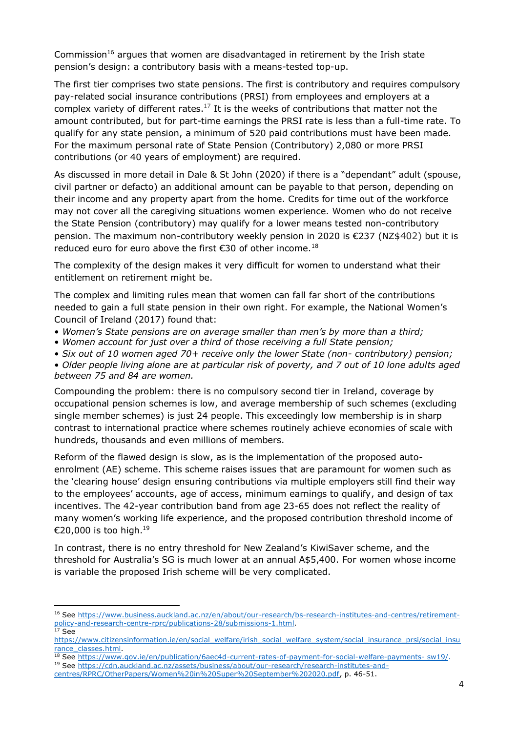Commission<sup>16</sup> argues that women are disadvantaged in retirement by the Irish state pension's design: a contributory basis with a means-tested top-up.

The first tier comprises two state pensions. The first is contributory and requires compulsory pay-related social insurance contributions (PRSI) from employees and employers at a complex variety of different rates. $^{17}$  It is the weeks of contributions that matter not the amount contributed, but for part-time earnings the PRSI rate is less than a full-time rate. To qualify for any state pension, a minimum of 520 paid contributions must have been made. For the maximum personal rate of State Pension (Contributory) 2,080 or more PRSI contributions (or 40 years of employment) are required.

As discussed in more detail in Dale & St John (2020) if there is a "dependant" adult (spouse, civil partner or defacto) an additional amount can be payable to that person, depending on their income and any property apart from the home. Credits for time out of the workforce may not cover all the caregiving situations women experience. Women who do not receive the State Pension (contributory) may qualify for a lower means tested non-contributory pension. The maximum non-contributory weekly pension in 2020 is €237 (NZ\$402) but it is reduced euro for euro above the first €30 of other income.<sup>18</sup>

The complexity of the design makes it very difficult for women to understand what their entitlement on retirement might be.

The complex and limiting rules mean that women can fall far short of the contributions needed to gain a full state pension in their own right. For example, the National Women's Council of Ireland (2017) found that:

- *Women's State pensions are on average smaller than men's by more than a third;*
- *Women account for just over a third of those receiving a full State pension;*
- *Six out of 10 women aged 70+ receive only the lower State (non- contributory) pension;*

• *Older people living alone are at particular risk of poverty, and 7 out of 10 lone adults aged between 75 and 84 are women.* 

Compounding the problem: there is no compulsory second tier in Ireland, coverage by occupational pension schemes is low, and average membership of such schemes (excluding single member schemes) is just 24 people. This exceedingly low membership is in sharp contrast to international practice where schemes routinely achieve economies of scale with hundreds, thousands and even millions of members.

Reform of the flawed design is slow, as is the implementation of the proposed autoenrolment (AE) scheme. This scheme raises issues that are paramount for women such as the 'clearing house' design ensuring contributions via multiple employers still find their way to the employees' accounts, age of access, minimum earnings to qualify, and design of tax incentives. The 42-year contribution band from age 23-65 does not reflect the reality of many women's working life experience, and the proposed contribution threshold income of €20,000 is too high. $^{19}$ 

In contrast, there is no entry threshold for New Zealand's KiwiSaver scheme, and the threshold for Australia's SG is much lower at an annual A\$5,400. For women whose income is variable the proposed Irish scheme will be very complicated.

<sup>16</sup> See [https://www.business.auckland.ac.nz/en/about/our-research/bs-research-institutes-and-centres/retirement](https://www.business.auckland.ac.nz/en/about/our-research/bs-research-institutes-and-centres/retirement-policy-and-research-centre-rprc/publications-28/submissions-1.html)[policy-and-research-centre-rprc/publications-28/submissions-1.html.](https://www.business.auckland.ac.nz/en/about/our-research/bs-research-institutes-and-centres/retirement-policy-and-research-centre-rprc/publications-28/submissions-1.html)

 $17$  See

[https://www.citizensinformation.ie/en/social\\_welfare/irish\\_social\\_welfare\\_system/social\\_insurance\\_prsi/social\\_insu](https://www.citizensinformation.ie/en/social_welfare/irish_social_welfare_system/social_insurance_prsi/social_insurance_classes.html) [rance\\_classes.html.](https://www.citizensinformation.ie/en/social_welfare/irish_social_welfare_system/social_insurance_prsi/social_insurance_classes.html)

<sup>&</sup>lt;sup>18</sup> See https://www.gov.ie/en/publication/6aec4d-current-rates-of-payment-for-social-welfare-payments- sw19/.

<sup>19</sup> See [https://cdn.auckland.ac.nz/assets/business/about/our-research/research-institutes-and-](https://cdn.auckland.ac.nz/assets/business/about/our-research/research-institutes-and-centres/RPRC/OtherPapers/Women%20in%20Super%20September%202020.pdf)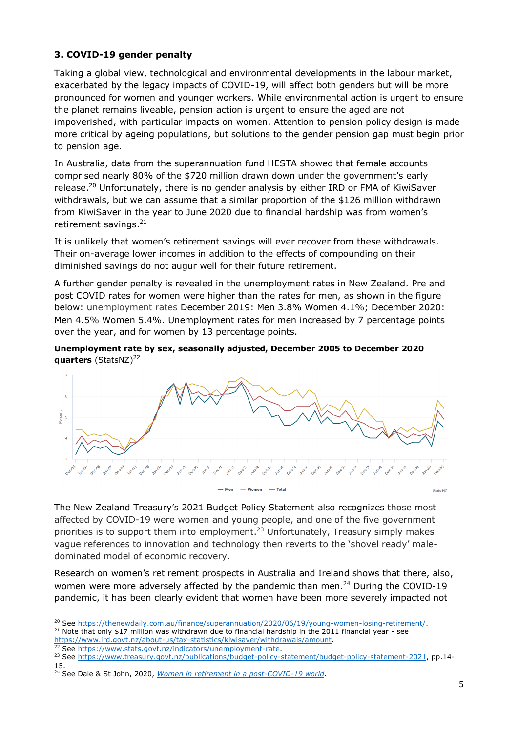### **3. COVID-19 gender penalty**

Taking a global view, technological and environmental developments in the labour market, exacerbated by the legacy impacts of COVID-19, will affect both genders but will be more pronounced for women and younger workers. While environmental action is urgent to ensure the planet remains liveable, pension action is urgent to ensure the aged are not impoverished, with particular impacts on women. Attention to pension policy design is made more critical by ageing populations, but solutions to the gender pension gap must begin prior to pension age.

In Australia, data from the superannuation fund HESTA showed that female accounts comprised nearly 80% of the \$720 million drawn down under the government's early release.<sup>20</sup> Unfortunately, there is no gender analysis by either IRD or FMA of KiwiSaver withdrawals, but we can assume that a similar proportion of the \$126 million withdrawn from KiwiSaver in the year to June 2020 due to financial hardship was from women's retirement savings.<sup>21</sup>

It is unlikely that women's retirement savings will ever recover from these withdrawals. Their on-average lower incomes in addition to the effects of compounding on their diminished savings do not augur well for their future retirement.

A further gender penalty is revealed in the unemployment rates in New Zealand. Pre and post COVID rates for women were higher than the rates for men, as shown in the figure below: unemployment rates December 2019: Men 3.8% Women 4.1%; December 2020: Men 4.5% Women 5.4%. Unemployment rates for men increased by 7 percentage points over the year, and for women by 13 percentage points.

#### **Unemployment rate by sex, seasonally adjusted, December 2005 to December 2020 quarters** (StatsNZ)<sup>22</sup>



The New Zealand Treasury's 2021 Budget Policy Statement also recognizes those most affected by COVID-19 were women and young people, and one of the five government priorities is to support them into employment.<sup>23</sup> Unfortunately, Treasury simply makes vague references to innovation and technology then reverts to the 'shovel ready' maledominated model of economic recovery.

Research on women's retirement prospects in Australia and Ireland shows that there, also, women were more adversely affected by the pandemic than men.<sup>24</sup> During the COVID-19 pandemic, it has been clearly evident that women have been more severely impacted not

<sup>21</sup> Note that only \$17 million was withdrawn due to financial hardship in the 2011 financial year - see [https://www.ird.govt.nz/about-us/tax-statistics/kiwisaver/withdrawals/amount.](https://www.ird.govt.nz/about-us/tax-statistics/kiwisaver/withdrawals/amount)

22 See [https://www.stats.govt.nz/indicators/unemployment-rate.](https://www.stats.govt.nz/indicators/unemployment-rate)

<sup>&</sup>lt;sup>20</sup> See [https://thenewdaily.com.au/finance/superannuation/2020/06/19/young-women-losing-retirement/.](https://thenewdaily.com.au/finance/superannuation/2020/06/19/young-women-losing-retirement/)

<sup>&</sup>lt;sup>23</sup> See [https://www.treasury.govt.nz/publications/budget-policy-statement/budget-policy-statement-2021,](https://protect-au.mimecast.com/s/r7kwC91WzLHmAPNXfoZrP9?domain=treasury.govt.nz) pp.14-15.

<sup>24</sup> See Dale & St John, 2020, *[Women in retirement in a post-COVID-19 world](https://cdn.auckland.ac.nz/assets/business/about/our-research/research-institutes-and-centres/RPRC/OtherPapers/WP%202020-1%20Women%20and%20Retirement%20FINAL.pdf)*.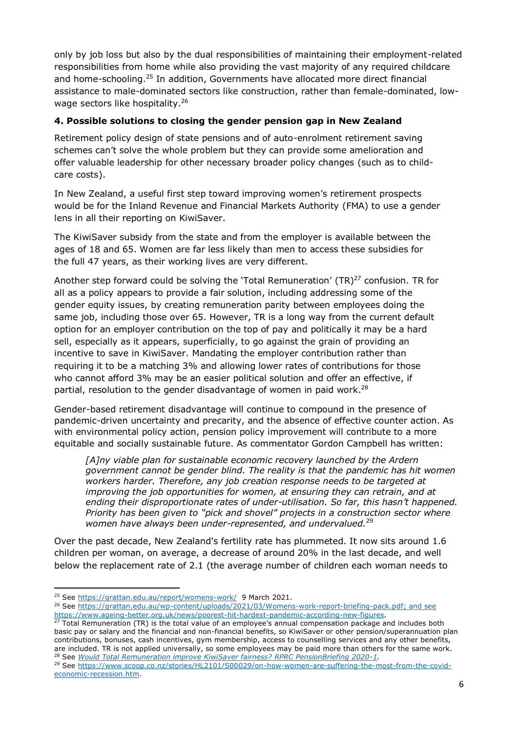only by job loss but also by the dual responsibilities of maintaining their employment-related responsibilities from home while also providing the vast majority of any required childcare and home-schooling.<sup>25</sup> In addition, Governments have allocated more direct financial assistance to male-dominated sectors like construction, rather than female-dominated, lowwage sectors like hospitality.<sup>26</sup>

#### **4. Possible solutions to closing the gender pension gap in New Zealand**

Retirement policy design of state pensions and of auto-enrolment retirement saving schemes can't solve the whole problem but they can provide some amelioration and offer valuable leadership for other necessary broader policy changes (such as to childcare costs).

In New Zealand, a useful first step toward improving women's retirement prospects would be for the Inland Revenue and Financial Markets Authority (FMA) to use a gender lens in all their reporting on KiwiSaver.

The KiwiSaver subsidy from the state and from the employer is available between the ages of 18 and 65. Women are far less likely than men to access these subsidies for the full 47 years, as their working lives are very different.

Another step forward could be solving the 'Total Remuneration'  $(TR)^{27}$  confusion. TR for all as a policy appears to provide a fair solution, including addressing some of the gender equity issues, by creating remuneration parity between employees doing the same job, including those over 65. However, TR is a long way from the current default option for an employer contribution on the top of pay and politically it may be a hard sell, especially as it appears, superficially, to go against the grain of providing an incentive to save in KiwiSaver. Mandating the employer contribution rather than requiring it to be a matching 3% and allowing lower rates of contributions for those who cannot afford 3% may be an easier political solution and offer an effective, if partial, resolution to the gender disadvantage of women in paid work.<sup>28</sup>

Gender-based retirement disadvantage will continue to compound in the presence of pandemic-driven uncertainty and precarity, and the absence of effective counter action. As with environmental policy action, pension policy improvement will contribute to a more equitable and socially sustainable future. As commentator Gordon Campbell has written:

*[A]ny viable plan for sustainable economic recovery launched by the Ardern government cannot be gender blind. The reality is that the pandemic has hit women workers harder. Therefore, any job creation response needs to be targeted at improving the job opportunities for women, at ensuring they can retrain, and at ending their disproportionate rates of under-utilisation. So far, this hasn't happened. Priority has been given to "pick and shovel" projects in a construction sector where women have always been under-represented, and undervalued.*<sup>29</sup>

Over the past decade, New Zealand's fertility rate has plummeted. It now sits around 1.6 children per woman, on average, a decrease of around 20% in the last decade, and well below the replacement rate of 2.1 (the average number of children each woman needs to

<sup>&</sup>lt;sup>25</sup> See<https://grattan.edu.au/report/womens-work/>9 March 2021.

<sup>&</sup>lt;sup>26</sup> See [https://grattan.edu.au/wp-content/uploads/2021/03/Womens-work-report-briefing-pack.pdf;](https://grattan.edu.au/wp-content/uploads/2021/03/Womens-work-report-briefing-pack.pdf) and see [https://www.ageing-better.org.uk/news/poorest-hit-hardest-pandemic-according-new-figures.](https://www.ageing-better.org.uk/news/poorest-hit-hardest-pandemic-according-new-figures)

<sup>&</sup>lt;sup>27</sup> Total Remuneration (TR) is the total value of an employee's annual compensation package and includes both basic pay or salary and the financial and non-financial benefits, so KiwiSaver or other pension/superannuation plan contributions, bonuses, cash incentives, gym membership, access to counselling services and any other benefits, are included. TR is not applied universally, so some employees may be paid more than others for the same work. <sup>28</sup> See *[Would Total Remuneration improve KiwiSaver fairness? RPRC PensionBriefing 2020-1.](https://cdn.auckland.ac.nz/assets/business/about/our-research/research-institutes-and-centres/RPRC/PensionBriefing/PB%202020-1%20Total%20Remuneration%20and%20KiwiSaver%20Final.pdf)*

<sup>&</sup>lt;sup>29</sup> See [https://www.scoop.co.nz/stories/HL2101/S00029/on-how-women-are-suffering-the-most-from-the-covid](https://www.scoop.co.nz/stories/HL2101/S00029/on-how-women-are-suffering-the-most-from-the-covid-economic-recession.htm)[economic-recession.htm.](https://www.scoop.co.nz/stories/HL2101/S00029/on-how-women-are-suffering-the-most-from-the-covid-economic-recession.htm)